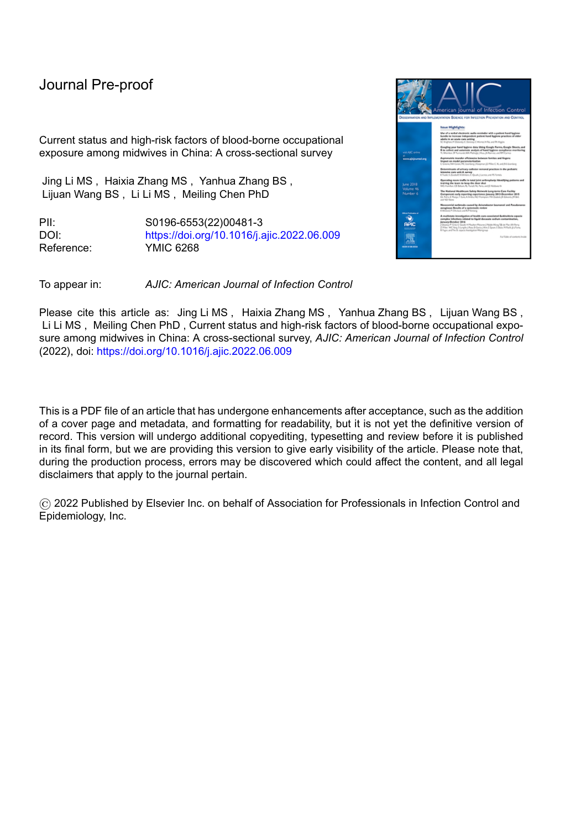Current status and high-risk factors of blood-borne occupational exposure among midwives in China: A cross-sectional survey

Jing Li MS , Haixia Zhang MS , Yanhua Zhang BS , Lijuan Wang BS , Li Li MS , Meiling Chen PhD

PII: S0196-6553(22)00481-3 DOI: <https://doi.org/10.1016/j.ajic.2022.06.009> Reference: YMIC 6268



Please cite this article as: Jing Li MS, Haixia Zhang MS, Yanhua Zhang BS, Lijuan Wang BS, Li Li MS , Meiling Chen PhD , Current status and high-risk factors of blood-borne occupational exposure among midwives in China: A cross-sectional survey, *AJIC: American Journal of Infection Control* (2022), doi: <https://doi.org/10.1016/j.ajic.2022.06.009>

This is a PDF file of an article that has undergone enhancements after acceptance, such as the addition of a cover page and metadata, and formatting for readability, but it is not yet the definitive version of record. This version will undergo additional copyediting, typesetting and review before it is published in its final form, but we are providing this version to give early visibility of the article. Please note that, during the production process, errors may be discovered which could affect the content, and all legal disclaimers that apply to the journal pertain.

© 2022 Published by Elsevier Inc. on behalf of Association for Professionals in Infection Control and Epidemiology, Inc.

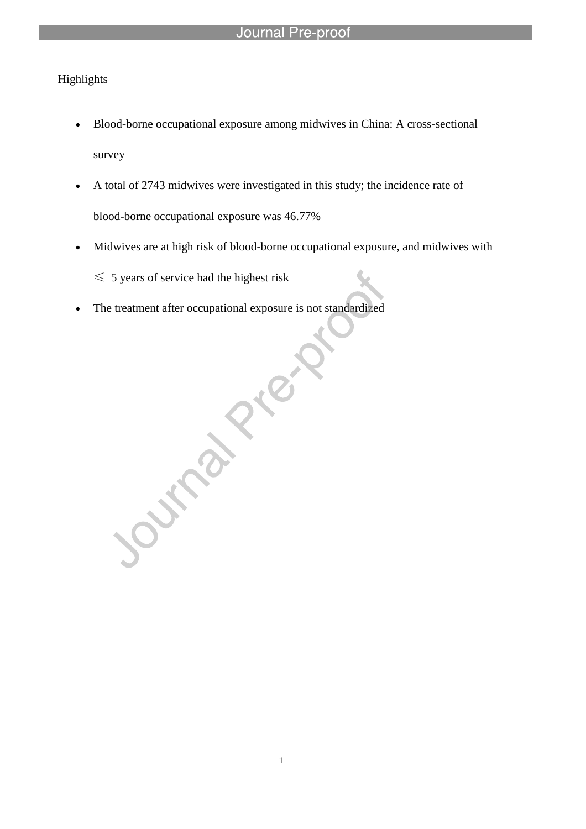# Highlights

- Blood-borne occupational exposure among midwives in China: A cross-sectional survey
- A total of 2743 midwives were investigated in this study; the incidence rate of blood-borne occupational exposure was 46.77%
- Midwives are at high risk of blood-borne occupational exposure, and midwives with

1

 $\leq 5$  years of service had the highest risk

l

• The treatment after occupational exposure is not standardized

**Surray Prop**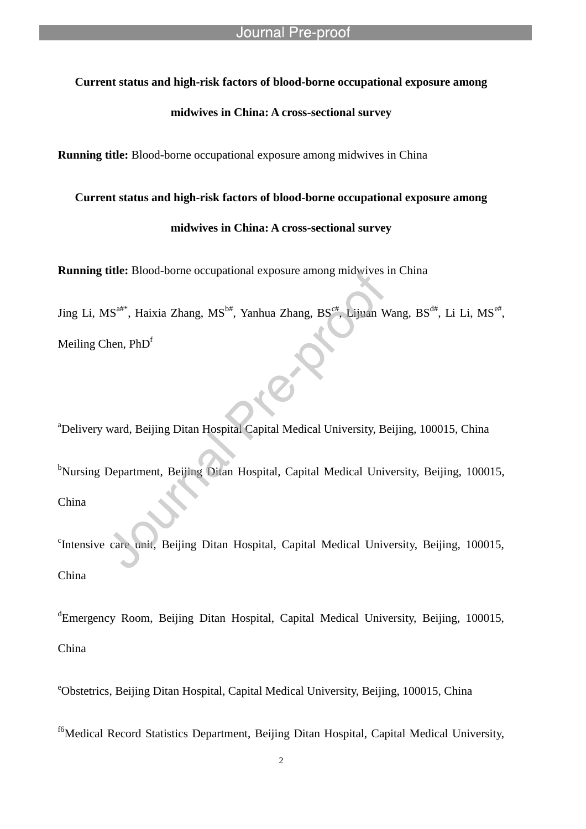# **Current status and high-risk factors of blood-borne occupational exposure among**

# **midwives in China: A cross-sectional survey**

**Running title:** Blood-borne occupational exposure among midwives in China

l

### **Current status and high-risk factors of blood-borne occupational exposure among**

# **midwives in China: A cross-sectional survey**

**Running title:** Blood-borne occupational exposure among midwives in China

Jing Li, MS<sup>a#\*</sup>, Haixia Zhang, MS<sup>b#</sup>, Yanhua Zhang, BS<sup>c#</sup>, Lijuan Wang, BS<sup>d#</sup>, Li Li, MS<sup>e#</sup>, Meiling Chen, PhD<sup>f</sup>

<sup>a</sup>Delivery ward, Beijing Ditan Hospital Capital Medical University, Beijing, 100015, China

<sup>b</sup>Nursing Department, Beijing Ditan Hospital, Capital Medical University, Beijing, 100015, China

c Intensive care unit, Beijing Ditan Hospital, Capital Medical University, Beijing, 100015, China

<sup>d</sup>Emergency Room, Beijing Ditan Hospital, Capital Medical University, Beijing, 100015, China

<sup>e</sup>Obstetrics, Beijing Ditan Hospital, Capital Medical University, Beijing, 100015, China

<sup>f6</sup>Medical Record Statistics Department, Beijing Ditan Hospital, Capital Medical University,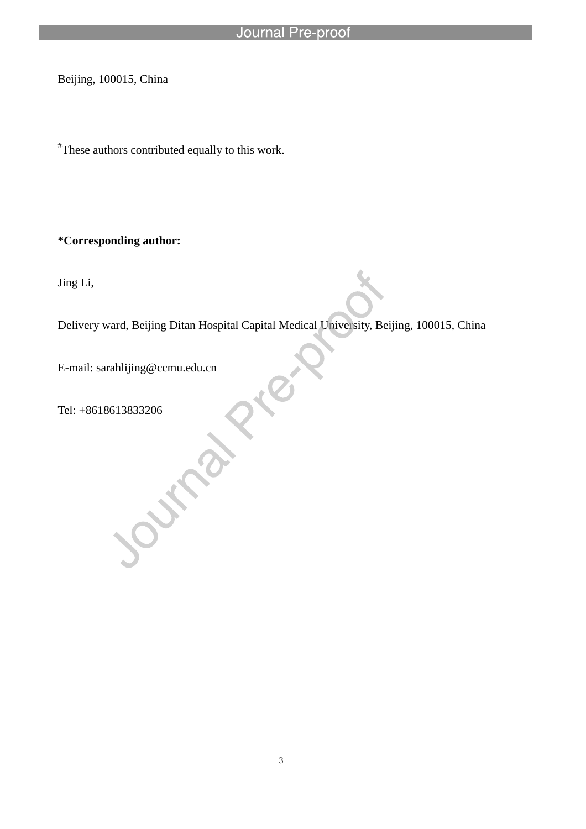Beijing, 100015, China

# These authors contributed equally to this work.

l

# **\*Corresponding author:**

Jing Li,

Delivery ward, Beijing Ditan Hospital Capital Medical University, Beijing, 100015, China

E-mail: sarahlijing@ccmu.edu.cn<br>Tel: +8618613833206<br>
Tel: +8618613833206

Tel: +8618613833206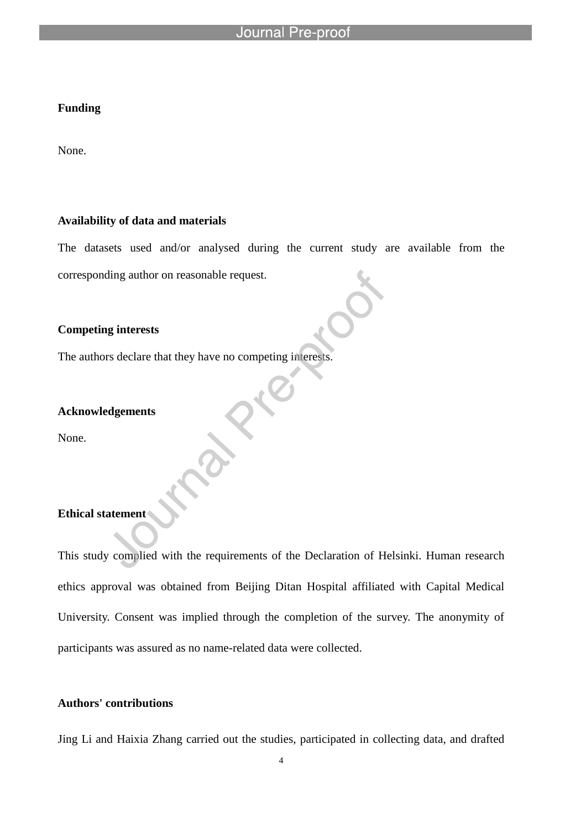#### **Funding**

None.

# **Availability of data and materials**

The datasets used and/or analysed during the current study are available from the corresponding author on reasonable request.

# **Competing interests**

The authors declare that they have no competing interests.

l

#### **Acknowledgements**

None.

# **Ethical statement**

This study complied with the requirements of the Declaration of Helsinki. Human research ethics approval was obtained from Beijing Ditan Hospital affiliated with Capital Medical University. Consent was implied through the completion of the survey. The anonymity of participants was assured as no name-related data were collected.

# **Authors' contributions**

Jing Li and Haixia Zhang carried out the studies, participated in collecting data, and drafted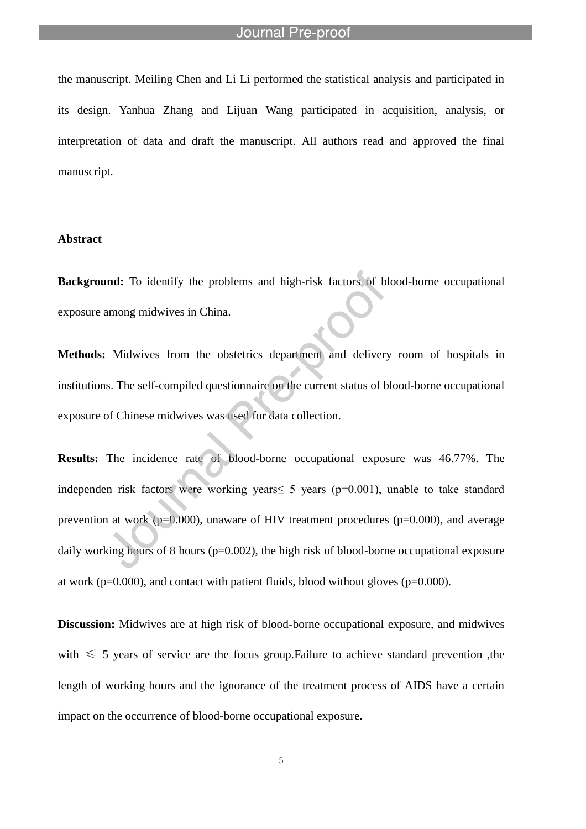l

the manuscript. Meiling Chen and Li Li performed the statistical analysis and participated in its design. Yanhua Zhang and Lijuan Wang participated in acquisition, analysis, or interpretation of data and draft the manuscript. All authors read and approved the final manuscript.

### **Abstract**

**Background:** To identify the problems and high-risk factors of blood-borne occupational exposure among midwives in China.

**Methods:** Midwives from the obstetrics department and delivery room of hospitals in institutions. The self-compiled questionnaire on the current status of blood-borne occupational exposure of Chinese midwives was used for data collection.

**Results:** The incidence rate of blood-borne occupational exposure was 46.77%. The independen risk factors were working years  $\leq 5$  years (p=0.001), unable to take standard prevention at work ( $p=0.000$ ), unaware of HIV treatment procedures ( $p=0.000$ ), and average daily working hours of 8 hours (p=0.002), the high risk of blood-borne occupational exposure at work ( $p=0.000$ ), and contact with patient fluids, blood without gloves ( $p=0.000$ ).

**Discussion:** Midwives are at high risk of blood-borne occupational exposure, and midwives with  $\leq 5$  years of service are the focus group. Failure to achieve standard prevention, the length of working hours and the ignorance of the treatment process of AIDS have a certain impact on the occurrence of blood-borne occupational exposure.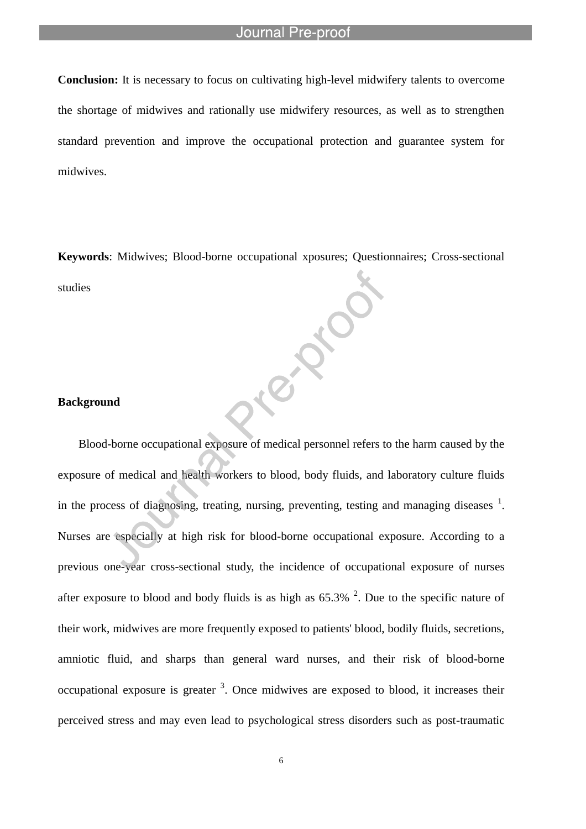**Conclusion:** It is necessary to focus on cultivating high-level midwifery talents to overcome the shortage of midwives and rationally use midwifery resources, as well as to strengthen standard prevention and improve the occupational protection and guarantee system for midwives.

**Keywords**: Midwives; Blood-borne occupational xposures; Questionnaires; Cross-sectional studies

EN TO

#### **Background**

Blood-borne occupational exposure of medical personnel refers to the harm caused by the exposure of medical and health workers to blood, body fluids, and laboratory culture fluids in the process of diagnosing, treating, nursing, preventing, testing and managing diseases  $1$ . Nurses are especially at high risk for blood-borne occupational exposure. According to a previous one-year cross-sectional study, the incidence of occupational exposure of nurses after exposure to blood and body fluids is as high as  $65.3\%$   $^{2}$ . Due to the specific nature of their work, midwives are more frequently exposed to patients' blood, bodily fluids, secretions, amniotic fluid, and sharps than general ward nurses, and their risk of blood-borne occupational exposure is greater  $3$ . Once midwives are exposed to blood, it increases their perceived stress and may even lead to psychological stress disorders such as post-traumatic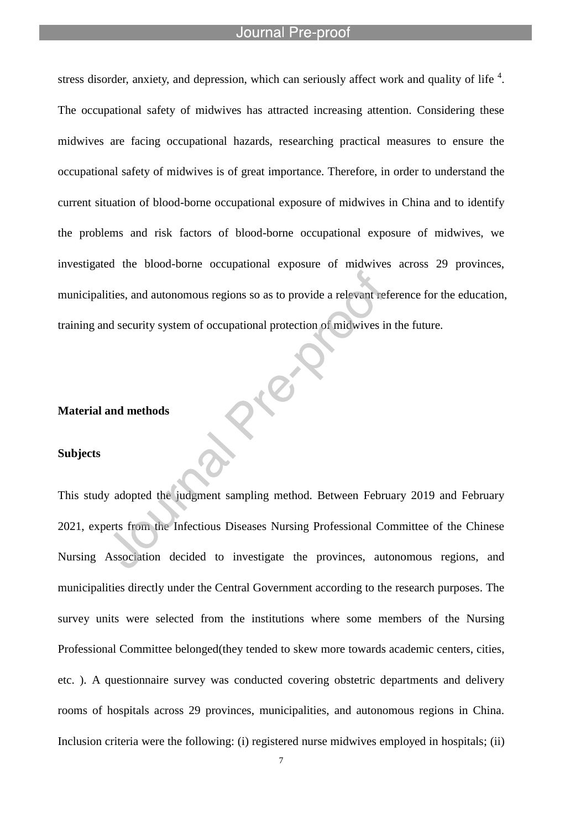l

stress disorder, anxiety, and depression, which can seriously affect work and quality of life  $4$ . The occupational safety of midwives has attracted increasing attention. Considering these midwives are facing occupational hazards, researching practical measures to ensure the occupational safety of midwives is of great importance. Therefore, in order to understand the current situation of blood-borne occupational exposure of midwives in China and to identify the problems and risk factors of blood-borne occupational exposure of midwives, we investigated the blood-borne occupational exposure of midwives across 29 provinces, municipalities, and autonomous regions so as to provide a relevant reference for the education, training and security system of occupational protection of midwives in the future.

#### **Material and methods**

#### **Subjects**

This study adopted the judgment sampling method. Between February 2019 and February 2021, experts from the Infectious Diseases Nursing Professional Committee of the Chinese Nursing Association decided to investigate the provinces, autonomous regions, and municipalities directly under the Central Government according to the research purposes. The survey units were selected from the institutions where some members of the Nursing Professional Committee belonged(they tended to skew more towards academic centers, cities, etc. ). A questionnaire survey was conducted covering obstetric departments and delivery rooms of hospitals across 29 provinces, municipalities, and autonomous regions in China. Inclusion criteria were the following: (i) registered nurse midwives employed in hospitals; (ii)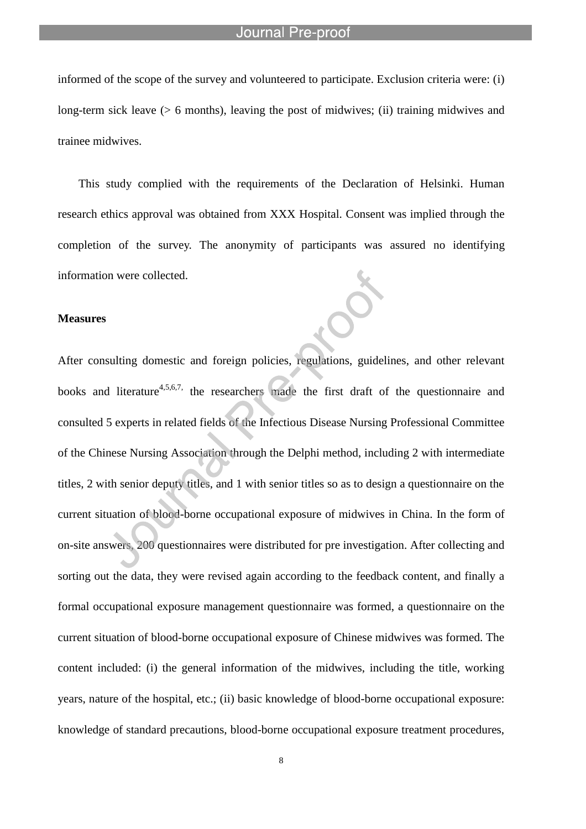l

informed of the scope of the survey and volunteered to participate. Exclusion criteria were: (i) long-term sick leave (> 6 months), leaving the post of midwives; (ii) training midwives and trainee midwives.

This study complied with the requirements of the Declaration of Helsinki. Human research ethics approval was obtained from XXX Hospital. Consent was implied through the completion of the survey. The anonymity of participants was assured no identifying information were collected.

#### **Measures**

After consulting domestic and foreign policies, regulations, guidelines, and other relevant books and literature<sup>4,5,6,7,</sup> the researchers made the first draft of the questionnaire and consulted 5 experts in related fields of the Infectious Disease Nursing Professional Committee of the Chinese Nursing Association through the Delphi method, including 2 with intermediate titles, 2 with senior deputy titles, and 1 with senior titles so as to design a questionnaire on the current situation of blood-borne occupational exposure of midwives in China. In the form of on-site answers, 200 questionnaires were distributed for pre investigation. After collecting and sorting out the data, they were revised again according to the feedback content, and finally a formal occupational exposure management questionnaire was formed, a questionnaire on the current situation of blood-borne occupational exposure of Chinese midwives was formed. The content included: (i) the general information of the midwives, including the title, working years, nature of the hospital, etc.; (ii) basic knowledge of blood-borne occupational exposure: knowledge of standard precautions, blood-borne occupational exposure treatment procedures,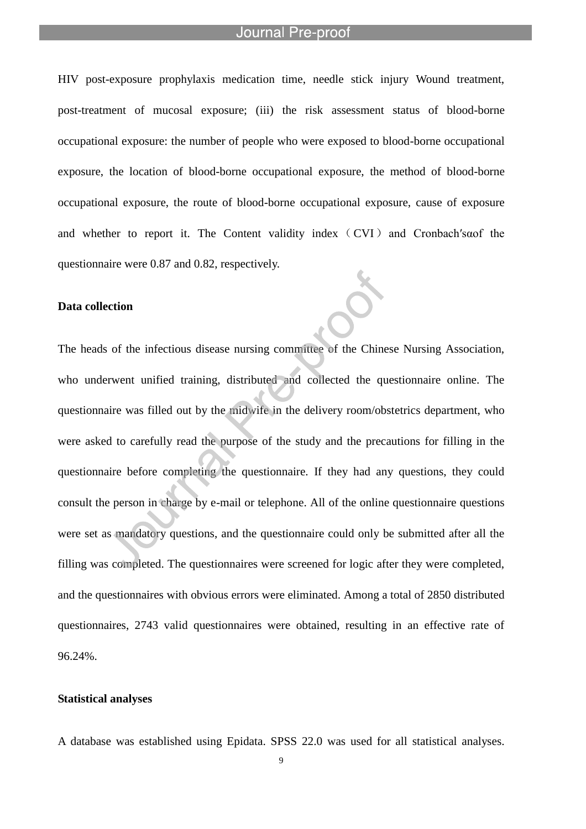l

HIV post-exposure prophylaxis medication time, needle stick injury Wound treatment, post-treatment of mucosal exposure; (iii) the risk assessment status of blood-borne occupational exposure: the number of people who were exposed to blood-borne occupational exposure, the location of blood-borne occupational exposure, the method of blood-borne occupational exposure, the route of blood-borne occupational exposure, cause of exposure and whether to report it. The Content validity index (CVI) and Cronbach's aof the questionnaire were 0.87 and 0.82, respectively.

### **Data collection**

The heads of the infectious disease nursing committee of the Chinese Nursing Association, who underwent unified training, distributed and collected the questionnaire online. The questionnaire was filled out by the midwife in the delivery room/obstetrics department, who were asked to carefully read the purpose of the study and the precautions for filling in the questionnaire before completing the questionnaire. If they had any questions, they could consult the person in charge by e-mail or telephone. All of the online questionnaire questions were set as mandatory questions, and the questionnaire could only be submitted after all the filling was completed. The questionnaires were screened for logic after they were completed, and the questionnaires with obvious errors were eliminated. Among a total of 2850 distributed questionnaires, 2743 valid questionnaires were obtained, resulting in an effective rate of 96.24%.

#### **Statistical analyses**

A database was established using Epidata. SPSS 22.0 was used for all statistical analyses.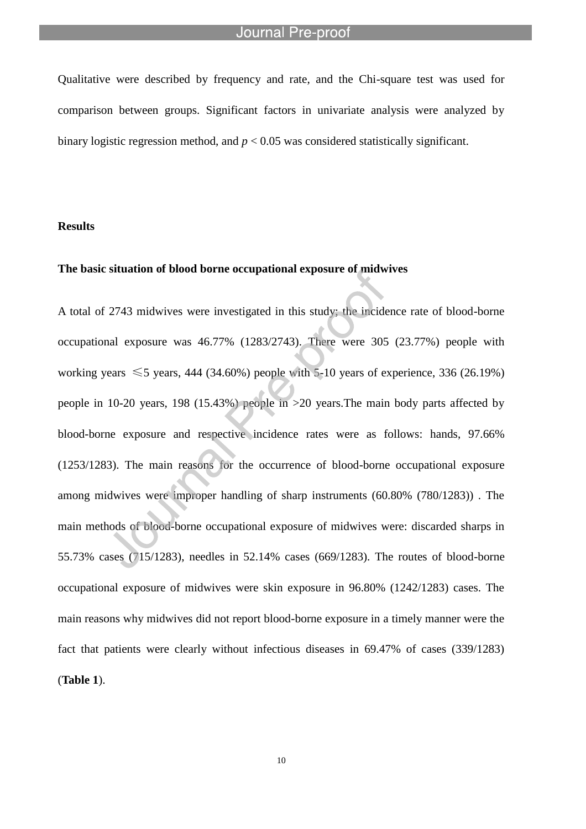Qualitative were described by frequency and rate, and the Chi-square test was used for comparison between groups. Significant factors in univariate analysis were analyzed by binary logistic regression method, and  $p < 0.05$  was considered statistically significant.

#### **Results**

#### **The basic situation of blood borne occupational exposure of midwives**

l

A total of 2743 midwives were investigated in this study; the incidence rate of blood-borne occupational exposure was 46.77% (1283/2743). There were 305 (23.77%) people with working years  $\leq 5$  years, 444 (34.60%) people with 5-10 years of experience, 336 (26.19%) people in 10-20 years, 198 (15.43%) people in >20 years.The main body parts affected by blood-borne exposure and respective incidence rates were as follows: hands, 97.66% (1253/1283). The main reasons for the occurrence of blood-borne occupational exposure among midwives were improper handling of sharp instruments (60.80% (780/1283)) . The main methods of blood-borne occupational exposure of midwives were: discarded sharps in 55.73% cases (715/1283), needles in 52.14% cases (669/1283). The routes of blood-borne occupational exposure of midwives were skin exposure in 96.80% (1242/1283) cases. The main reasons why midwives did not report blood-borne exposure in a timely manner were the fact that patients were clearly without infectious diseases in 69.47% of cases (339/1283) (**Table 1**).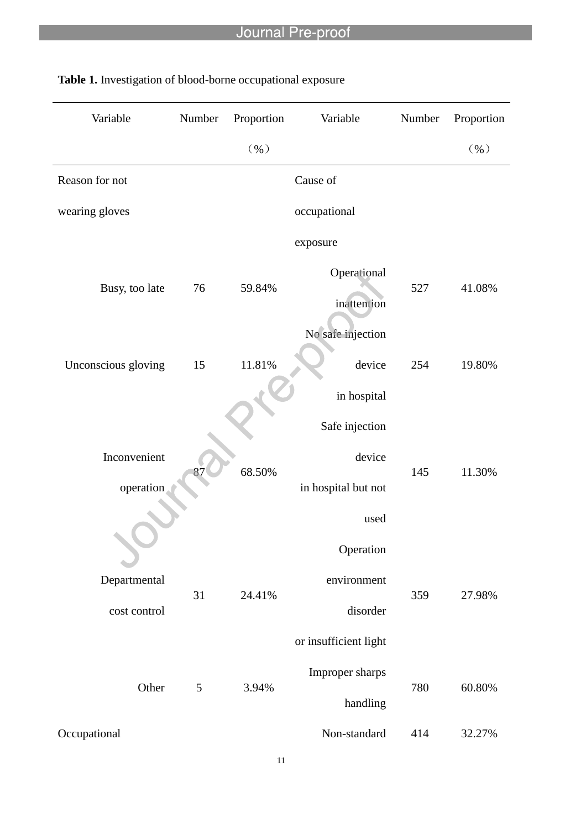| Variable            | Number | Proportion                    | Variable                    | Number | Proportion   |
|---------------------|--------|-------------------------------|-----------------------------|--------|--------------|
|                     |        | $($ $\%$ $)$                  |                             |        | $($ $\%$ $)$ |
| Reason for not      |        |                               | Cause of                    |        |              |
| wearing gloves      |        |                               | occupational                |        |              |
|                     |        |                               | exposure                    |        |              |
| Busy, too late      | 76     | 59.84%                        | Operational<br>inattention  | 527    | 41.08%       |
| Unconscious gloving | 15     | 11.81%                        | No safe injection<br>device | 254    | 19.80%       |
|                     |        | in hospital<br>Safe injection |                             |        |              |
| Inconvenient        |        |                               | device                      |        |              |
| operation           |        | 68.50%                        | in hospital but not         | 145    | 11.30%       |
|                     |        |                               | used                        |        |              |
|                     |        |                               | Operation                   |        |              |
| Departmental        | 31     | 24.41%                        | environment                 | 359    | 27.98%       |
| cost control        |        |                               | disorder                    |        |              |
|                     |        |                               | or insufficient light       |        |              |
| Other               | 5      | 3.94%                         | Improper sharps<br>handling | 780    | 60.80%       |
| Occupational        |        |                               | Non-standard                | 414    | 32.27%       |

# **Table 1.** Investigation of blood-borne occupational exposure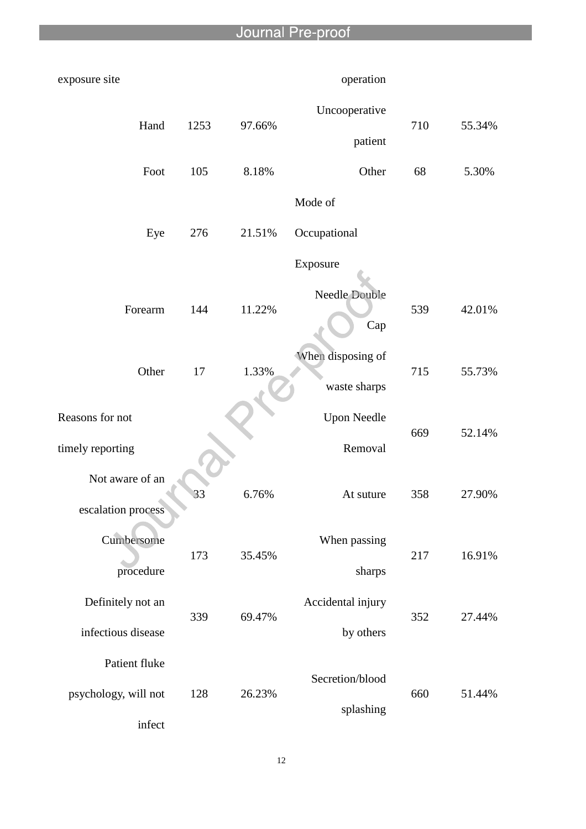| exposure site                         |      |        | operation                         |     |        |
|---------------------------------------|------|--------|-----------------------------------|-----|--------|
| Hand                                  | 1253 | 97.66% | Uncooperative<br>patient          | 710 | 55.34% |
| Foot                                  | 105  | 8.18%  | Other                             | 68  | 5.30%  |
|                                       |      |        | Mode of                           |     |        |
| Eye                                   | 276  | 21.51% | Occupational                      |     |        |
| Forearm                               | 144  | 11.22% | Exposure<br>Needle Double<br>Cap  | 539 | 42.01% |
| Other                                 | 17   | 1.33%  | When disposing of<br>waste sharps | 715 | 55.73% |
| Reasons for not                       |      |        | <b>Upon Needle</b>                | 669 | 52.14% |
| timely reporting                      |      |        | Removal                           |     |        |
| Not aware of an<br>escalation process | 33   | 6.76%  | At suture                         | 358 | 27.90% |
| Cumbersome<br>procedure               | 173  | 35.45% | When passing<br>sharps            | 217 | 16.91% |
| Definitely not an                     |      |        | Accidental injury                 |     |        |
| infectious disease                    | 339  | 69.47% | by others                         | 352 | 27.44% |
| Patient fluke<br>psychology, will not | 128  | 26.23% | Secretion/blood<br>splashing      | 660 | 51.44% |
| infect                                |      |        |                                   |     |        |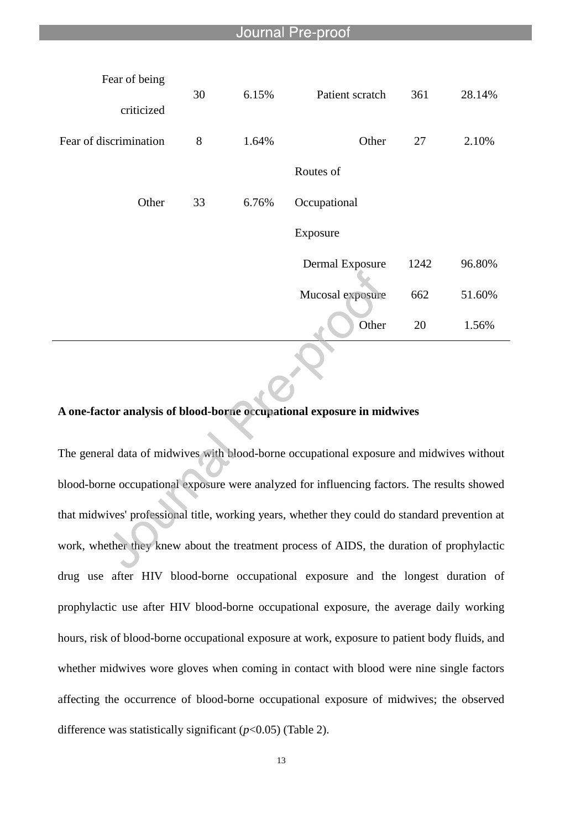l

| Fear of being          | 30 | 6.15% | Patient scratch        | 361  | 28.14% |
|------------------------|----|-------|------------------------|------|--------|
| criticized             |    |       |                        |      |        |
| Fear of discrimination | 8  | 1.64% | Other                  | 27   | 2.10%  |
|                        |    |       | Routes of              |      |        |
| Other                  | 33 | 6.76% | Occupational           |      |        |
|                        |    |       | Exposure               |      |        |
|                        |    |       | <b>Dermal Exposure</b> | 1242 | 96.80% |
|                        |    |       | Mucosal exposure       | 662  | 51.60% |
|                        |    |       | Other                  | 20   | 1.56%  |
|                        |    |       |                        |      |        |

# **A one-factor analysis of blood-borne occupational exposure in midwives**

The general data of midwives with blood-borne occupational exposure and midwives without blood-borne occupational exposure were analyzed for influencing factors. The results showed that midwives' professional title, working years, whether they could do standard prevention at work, whether they knew about the treatment process of AIDS, the duration of prophylactic drug use after HIV blood-borne occupational exposure and the longest duration of prophylactic use after HIV blood-borne occupational exposure, the average daily working hours, risk of blood-borne occupational exposure at work, exposure to patient body fluids, and whether midwives wore gloves when coming in contact with blood were nine single factors affecting the occurrence of blood-borne occupational exposure of midwives; the observed difference was statistically significant (*p*<0.05) (Table 2).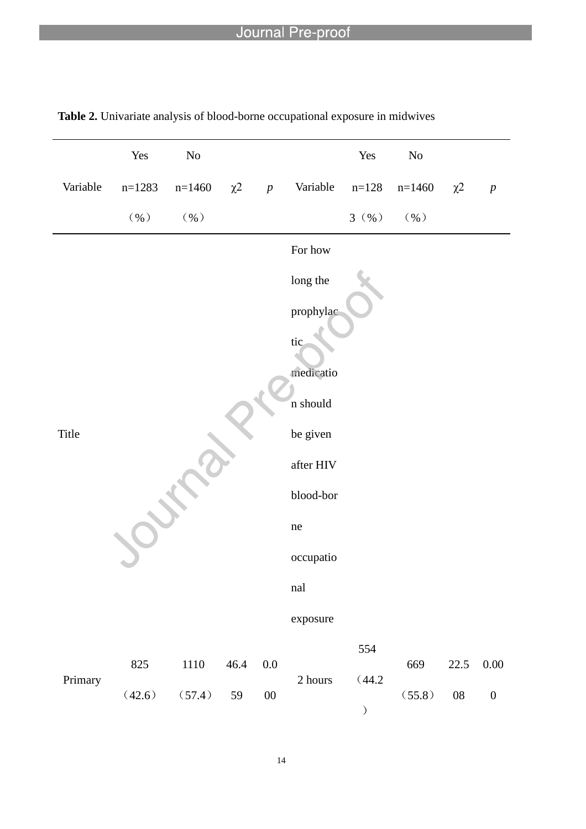|          | Yes          | $\rm No$     |            |                  |                | Yes         | $\rm No$     |            |                  |
|----------|--------------|--------------|------------|------------------|----------------|-------------|--------------|------------|------------------|
| Variable | $n=1283$     | $n=1460$     | $\chi^2$   | $\boldsymbol{p}$ | Variable       | $n = 128$   | $n=1460$     | $\chi^2$   | $\boldsymbol{p}$ |
|          | $($ $\%$ $)$ | $($ $\%$ $)$ |            |                  |                | $3 \ ( \%)$ | $($ $\%$ $)$ |            |                  |
|          |              |              |            |                  | For how        |             |              |            |                  |
|          |              |              |            |                  | long the       |             |              |            |                  |
|          |              |              |            |                  | prophylac      |             |              |            |                  |
|          |              |              |            |                  | tic            |             |              |            |                  |
|          |              |              |            |                  | medicatio      |             |              |            |                  |
|          |              |              |            |                  | n should       |             |              |            |                  |
| Title    |              |              |            |                  | be given       |             |              |            |                  |
|          |              |              |            |                  | after HIV      |             |              |            |                  |
|          |              |              |            |                  | blood-bor      |             |              |            |                  |
|          |              |              |            |                  | ne             |             |              |            |                  |
|          |              |              |            |                  | occupatio      |             |              |            |                  |
|          |              |              |            |                  | nal            |             |              |            |                  |
|          |              |              |            |                  | exposure       |             |              |            |                  |
|          | 825          | 1110         |            | $0.0\,$          |                | 554         | 669          | 22.5       | $0.00\,$         |
| Primary  |              |              | 46.4<br>59 |                  | $2$ hours $\,$ | (44.2)      |              |            |                  |
|          | (42.6)       | (57.4)       |            | ${\bf 00}$       |                | $\lambda$   | (55.8)       | ${\bf 08}$ | $\boldsymbol{0}$ |

**Table 2.** Univariate analysis of blood-borne occupational exposure in midwives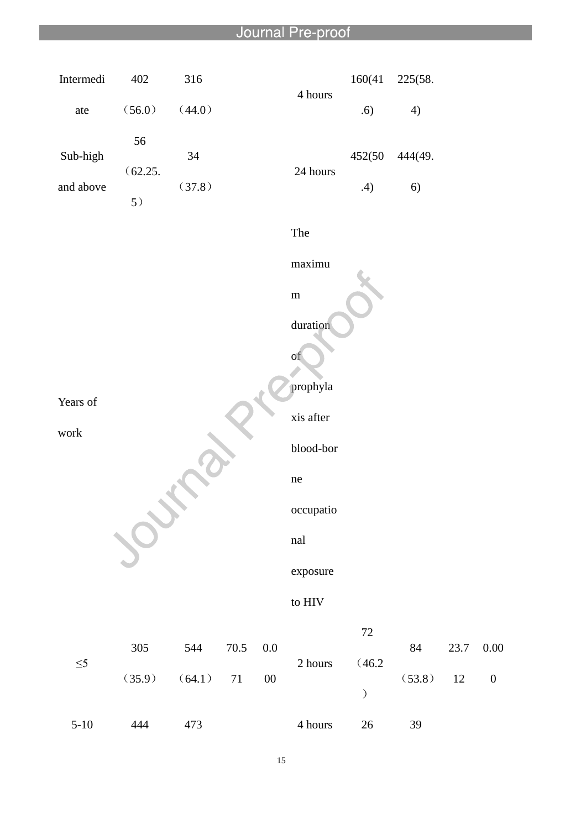| Intermedi             | 402                 | 316          |          |            |                      | 160(41           | 225(58.       |      |                  |
|-----------------------|---------------------|--------------|----------|------------|----------------------|------------------|---------------|------|------------------|
| ate                   | (56.0)              | (44.0)       |          |            | 4 hours              | .6)              | 4)            |      |                  |
| Sub-high<br>and above | 56<br>(62.25.<br>5) | 34<br>(37.8) |          |            | 24 hours             | 452(50<br>.4)    | 444(49.<br>6) |      |                  |
|                       |                     |              |          |            | The                  |                  |               |      |                  |
|                       |                     |              |          |            | maximu               |                  |               |      |                  |
|                       |                     |              |          |            | ${\bf m}$            |                  |               |      |                  |
|                       |                     |              |          |            | duration             |                  |               |      |                  |
|                       |                     |              |          |            | of                   |                  |               |      |                  |
|                       |                     |              |          |            | prophyla             |                  |               |      |                  |
| Years of<br>work      |                     |              |          |            | xis after            |                  |               |      |                  |
|                       |                     |              |          |            | blood-bor            |                  |               |      |                  |
|                       |                     |              |          |            | ne                   |                  |               |      |                  |
|                       |                     |              |          |            | occupatio            |                  |               |      |                  |
|                       |                     |              |          |            | $\operatorname{nal}$ |                  |               |      |                  |
|                       |                     |              |          |            | exposure             |                  |               |      |                  |
|                       |                     |              |          |            | to $\rm{HIV}$        |                  |               |      |                  |
| $\leq 5$              | 305                 | 544          | $70.5\,$ | $0.0\,$    | 2 hours              | $72\,$<br>(46.2) | 84            | 23.7 | $0.00\,$         |
|                       | (35.9)              | (64.1)       | $71\,$   | ${\bf 00}$ |                      | $\big)$          | (53.8)        | 12   | $\boldsymbol{0}$ |
| $5 - 10$              | 444                 | 473          |          |            | $4$ hours $\,$       | $26\,$           | 39            |      |                  |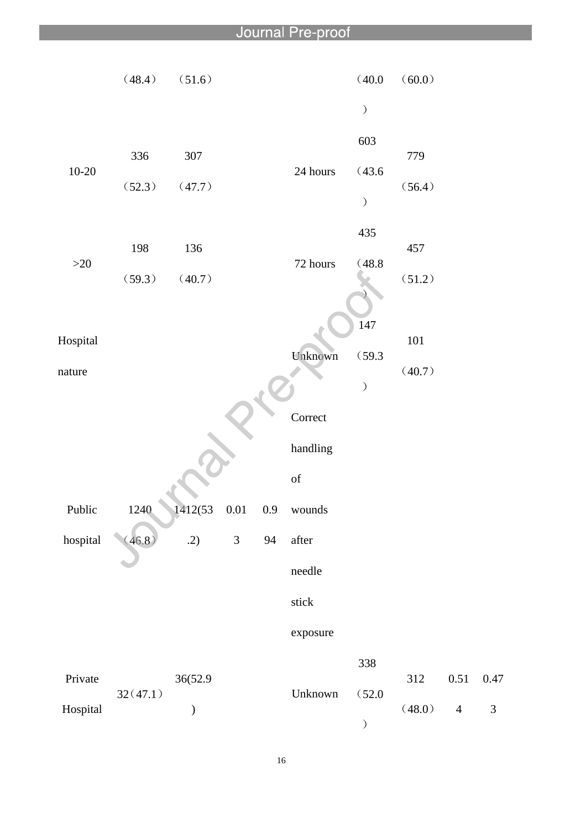| $\mathcal{C}$<br>603<br>336<br>307<br>779<br>$10 - 20$<br>24 hours<br>(43.6)<br>(56.4)<br>(52.3)<br>(47.7)<br>$\left( \right)$<br>435<br>136<br>457<br>198<br>$>20$<br>72 hours<br>(48.8)<br>(59.3)<br>(51.2)<br>(40.7)<br>147 |          |
|--------------------------------------------------------------------------------------------------------------------------------------------------------------------------------------------------------------------------------|----------|
|                                                                                                                                                                                                                                |          |
|                                                                                                                                                                                                                                |          |
|                                                                                                                                                                                                                                |          |
| $101\,$<br>Hospital<br>Unknown<br>(59.3)<br>(40.7)<br>nature<br>$\left( \right)$                                                                                                                                               |          |
| Correct                                                                                                                                                                                                                        |          |
| handling<br>$% \left( \left( \mathcal{A},\mathcal{A}\right) \right) =\left( \mathcal{A},\mathcal{A}\right)$ of                                                                                                                 |          |
| Public<br>1240<br>1412(53 0.01<br>0.9<br>wounds                                                                                                                                                                                |          |
| (46.8)<br>.2)<br>hospital<br>after<br>$\mathfrak 3$<br>94<br>needle                                                                                                                                                            |          |
| stick                                                                                                                                                                                                                          |          |
| exposure                                                                                                                                                                                                                       |          |
| 338<br>Private<br>36(52.9<br>$0.51\,$<br>312<br>32(47.1)<br>Unknown<br>(52.0)<br>(48.0)<br>Hospital<br>$\overline{4}$<br>$\mathcal{C}^{\prime}$<br>$\big)$                                                                     | $0.47\,$ |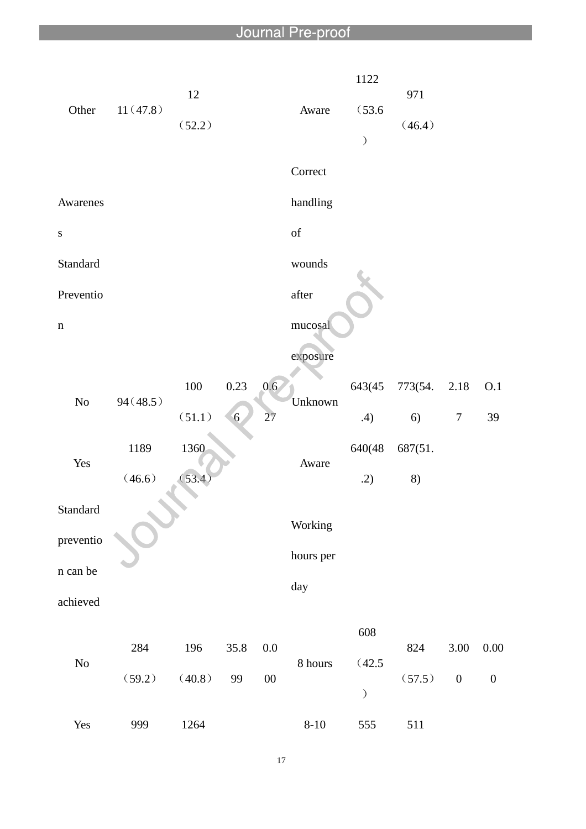| Other       | 11(47.8)      | 12<br>(52.2)  |            |                       | Aware                                                                                              | 1122<br>(53.6)<br>$\big)$      | 971<br>(46.4) |                              |                              |
|-------------|---------------|---------------|------------|-----------------------|----------------------------------------------------------------------------------------------------|--------------------------------|---------------|------------------------------|------------------------------|
|             |               |               |            |                       | Correct                                                                                            |                                |               |                              |                              |
| Awarenes    |               |               |            |                       | handling                                                                                           |                                |               |                              |                              |
| ${\bf S}$   |               |               |            |                       | $% \left( \left( \mathcal{A},\mathcal{A}\right) \right) =\left( \mathcal{A},\mathcal{A}\right)$ of |                                |               |                              |                              |
| Standard    |               |               |            |                       | wounds                                                                                             |                                |               |                              |                              |
| Preventio   |               |               |            |                       | after                                                                                              |                                |               |                              |                              |
| $\mathbf n$ |               |               |            |                       | mucosal                                                                                            |                                |               |                              |                              |
|             |               |               |            |                       | exposure                                                                                           |                                |               |                              |                              |
|             |               | $100\,$       | 0.23       | 0.6                   |                                                                                                    | 643(45)                        | 773(54.       | 2.18                         | O.1                          |
| $\rm No$    | 94(48.5)      | (51.1)        | 6          | 27                    | Unknown                                                                                            | .4)                            | 6)            | $\tau$                       | 39                           |
|             | 1189          | 1360          |            |                       |                                                                                                    | 640(48                         | 687(51.       |                              |                              |
| Yes         | (46.6)        | (53.4)        |            |                       | Aware                                                                                              | .2)                            | 8)            |                              |                              |
| Standard    | $\sum$        |               |            |                       |                                                                                                    |                                |               |                              |                              |
| preventio   |               |               |            |                       | Working                                                                                            |                                |               |                              |                              |
| n can be    |               |               |            |                       | hours per                                                                                          |                                |               |                              |                              |
| achieved    |               |               |            |                       | day                                                                                                |                                |               |                              |                              |
| $\rm No$    | 284<br>(59.2) | 196<br>(40.8) | 35.8<br>99 | $0.0\,$<br>${\bf 00}$ | 8 hours                                                                                            | 608<br>(42.5)<br>$\mathcal{C}$ | 824<br>(57.5) | $3.00\,$<br>$\boldsymbol{0}$ | $0.00\,$<br>$\boldsymbol{0}$ |
| Yes         | 999           | 1264          |            |                       | $8 - 10$                                                                                           | 555                            | 511           |                              |                              |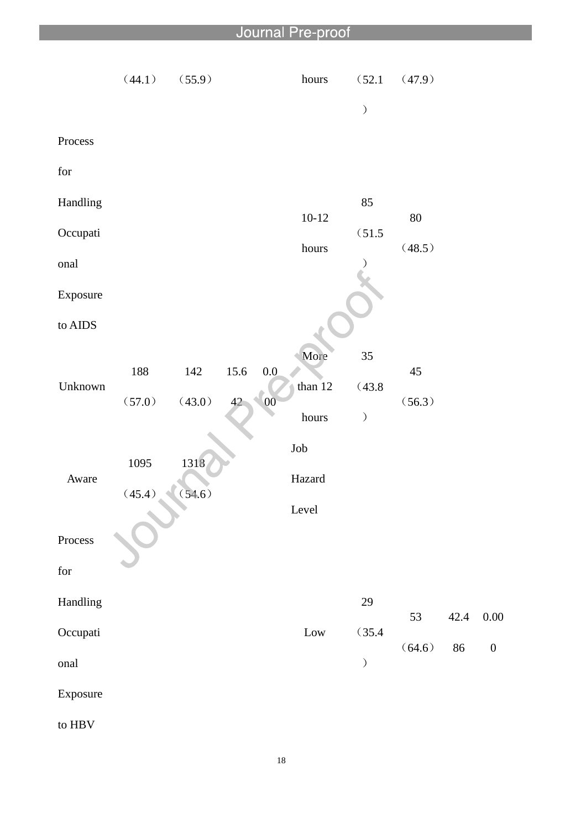|                         | (44.1) | (55.9) |      | hours               | (52.1)  | (47.9) |      |                  |
|-------------------------|--------|--------|------|---------------------|---------|--------|------|------------------|
|                         |        |        |      |                     | $\big)$ |        |      |                  |
| Process                 |        |        |      |                     |         |        |      |                  |
| for                     |        |        |      |                     |         |        |      |                  |
| Handling                |        |        |      |                     | 85      |        |      |                  |
| Occupati                |        |        |      | $10 - 12$           | (51.5   | $80\,$ |      |                  |
| onal                    |        |        |      | ${\tt hours}$       |         | (48.5) |      |                  |
| Exposure                |        |        |      |                     |         |        |      |                  |
| to AIDS                 |        |        |      |                     |         |        |      |                  |
|                         |        |        |      | More                | 35      |        |      |                  |
| Unknown                 | 188    | 142    | 15.6 | 0.0<br>than 12      | (43.8)  | $45\,$ |      |                  |
|                         | (57.0) | (43.0) |      | 00<br>${\tt hours}$ | $\big)$ | (56.3) |      |                  |
|                         |        |        |      | ${\rm Job}$         |         |        |      |                  |
| Aware                   | 1095   | 1318   |      | Hazard              |         |        |      |                  |
|                         | (45.4) | (54.6) |      | Level               |         |        |      |                  |
| Process                 |        |        |      |                     |         |        |      |                  |
| for                     |        |        |      |                     |         |        |      |                  |
| Handling                |        |        |      |                     | 29      |        |      |                  |
| Occupati                |        |        |      | $_{\rm Low}$        | (35.4)  | 53     | 42.4 | 0.00             |
| onal                    |        |        |      |                     | $\big)$ | (64.6) | 86   | $\boldsymbol{0}$ |
| Exposure                |        |        |      |                     |         |        |      |                  |
| to $\operatorname{HBV}$ |        |        |      |                     |         |        |      |                  |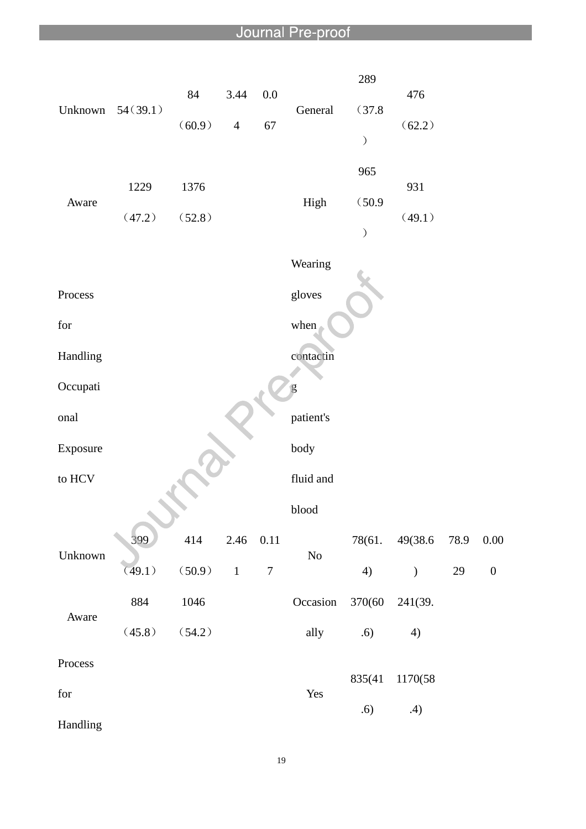| Unknown     | 54(39.1)       | 84<br>(60.9)   | 3.44<br>$\overline{4}$ | 0.0<br>67        | General   | 289<br>(37.8)<br>$\big)$ | 476<br>(62.2)   |      |                  |
|-------------|----------------|----------------|------------------------|------------------|-----------|--------------------------|-----------------|------|------------------|
| Aware       | 1229<br>(47.2) | 1376<br>(52.8) |                        |                  | High      | 965<br>(50.9)<br>$\big)$ | 931<br>(49.1)   |      |                  |
|             |                |                |                        |                  | Wearing   |                          |                 |      |                  |
| Process     |                |                |                        |                  | gloves    |                          |                 |      |                  |
| ${\rm for}$ |                |                |                        |                  | when      |                          |                 |      |                  |
| Handling    |                |                |                        |                  | contactin |                          |                 |      |                  |
| Occupati    |                |                |                        |                  |           |                          |                 |      |                  |
| onal        |                |                |                        |                  | patient's |                          |                 |      |                  |
| Exposure    |                |                |                        |                  | body      |                          |                 |      |                  |
| to HCV      |                |                |                        |                  | fluid and |                          |                 |      |                  |
|             |                |                |                        |                  | blood     |                          |                 |      |                  |
| Unknown     | 399            | 414            |                        | 2.46 0.11        | $\rm No$  |                          | 78(61. 49(38.6) | 78.9 | $0.00\,$         |
|             | (49.1)         | (50.9)         | $\mathbf{1}$           | $\boldsymbol{7}$ |           | 4)                       | $\mathcal{E}$   | 29   | $\boldsymbol{0}$ |
| Aware       | 884            | 1046           |                        |                  | Occasion  | 370(60                   | 241(39.         |      |                  |
|             | (45.8)         | (54.2)         |                        |                  | ally      | .6)                      | 4)              |      |                  |
| Process     |                |                |                        |                  |           | 835(41                   | 1170(58         |      |                  |
| for         |                |                |                        |                  | Yes       | .6)                      | .4)             |      |                  |
| Handling    |                |                |                        |                  |           |                          |                 |      |                  |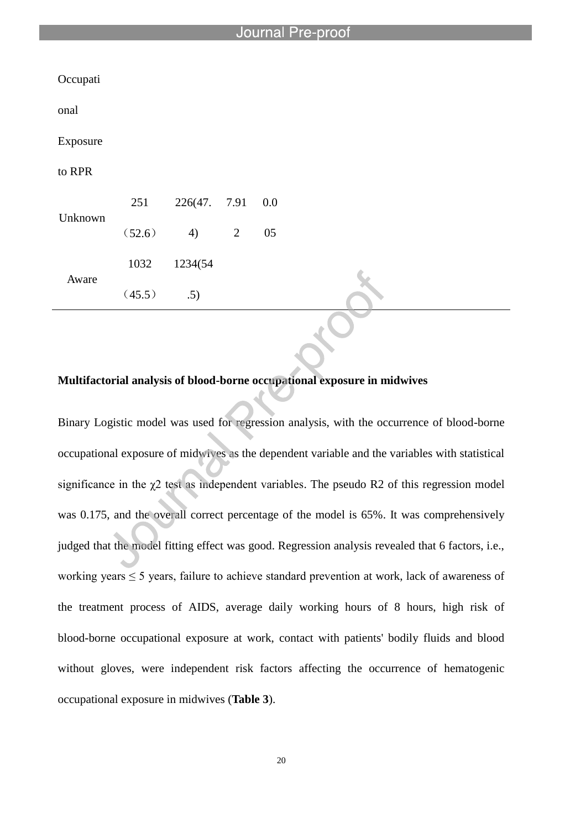| Occupati |        |              |   |     |  |  |  |
|----------|--------|--------------|---|-----|--|--|--|
| onal     |        |              |   |     |  |  |  |
| Exposure |        |              |   |     |  |  |  |
| to RPR   |        |              |   |     |  |  |  |
|          | 251    | 226(47. 7.91 |   | 0.0 |  |  |  |
| Unknown  | (52.6) | 4)           | 2 | 05  |  |  |  |
|          | 1032   | 1234(54      |   |     |  |  |  |
| Aware    | (45.5) | .5)          |   |     |  |  |  |

### **Multifactorial analysis of blood-borne occupational exposure in midwives**

Binary Logistic model was used for regression analysis, with the occurrence of blood-borne occupational exposure of midwives as the dependent variable and the variables with statistical significance in the  $\chi$ 2 test as independent variables. The pseudo R2 of this regression model was 0.175, and the overall correct percentage of the model is 65%. It was comprehensively judged that the model fitting effect was good. Regression analysis revealed that 6 factors, i.e., working years  $\leq$  5 years, failure to achieve standard prevention at work, lack of awareness of the treatment process of AIDS, average daily working hours of 8 hours, high risk of blood-borne occupational exposure at work, contact with patients' bodily fluids and blood without gloves, were independent risk factors affecting the occurrence of hematogenic occupational exposure in midwives (**Table 3**).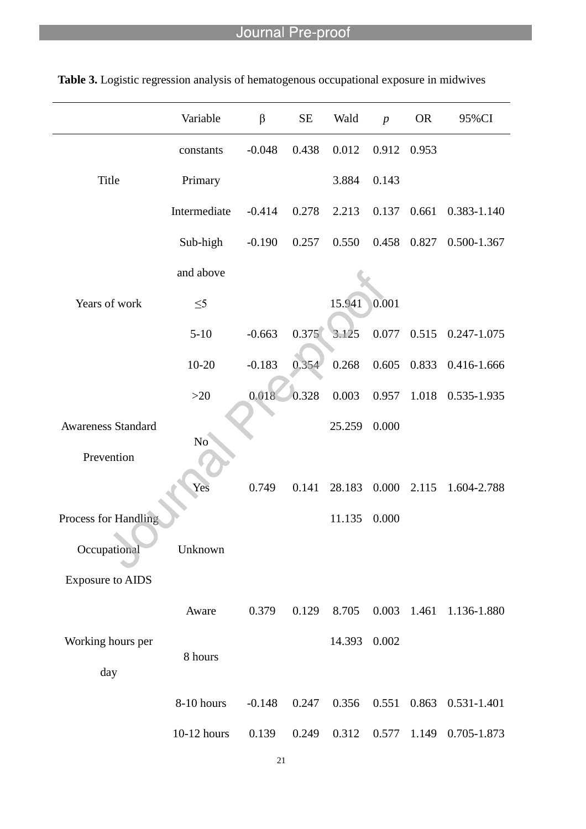|                           | Variable       | $\beta$  | <b>SE</b> | Wald   | $\boldsymbol{p}$ | <b>OR</b> | 95%CI                 |
|---------------------------|----------------|----------|-----------|--------|------------------|-----------|-----------------------|
|                           | constants      | $-0.048$ | 0.438     | 0.012  | 0.912            | 0.953     |                       |
| Title                     | Primary        |          |           | 3.884  | 0.143            |           |                       |
|                           | Intermediate   | $-0.414$ | 0.278     | 2.213  | 0.137            | 0.661     | 0.383-1.140           |
|                           | Sub-high       | $-0.190$ | 0.257     | 0.550  | 0.458            | 0.827     | 0.500-1.367           |
|                           | and above      |          |           |        |                  |           |                       |
| Years of work             | $\leq 5$       |          |           | 15.941 | 0.001            |           |                       |
|                           | $5-10$         | $-0.663$ | 0.375     | 3.125  | 0.077            |           | $0.515$ $0.247-1.075$ |
|                           | $10 - 20$      | $-0.183$ | 0.354     | 0.268  | 0.605            | 0.833     | 0.416-1.666           |
|                           | $>20$          | 0.018    | 0.328     | 0.003  | 0.957            | 1.018     | 0.535-1.935           |
| <b>Awareness Standard</b> |                |          |           | 25.259 | 0.000            |           |                       |
| Prevention                | N <sub>o</sub> |          |           |        |                  |           |                       |
|                           | Yes            | 0.749    | 0.141     | 28.183 | 0.000            | 2.115     | 1.604-2.788           |
| Process for Handling      |                |          |           | 11.135 | 0.000            |           |                       |
| Occupational              | Unknown        |          |           |        |                  |           |                       |
| <b>Exposure to AIDS</b>   |                |          |           |        |                  |           |                       |
|                           | Aware          | 0.379    | 0.129     | 8.705  | 0.003            | 1.461     | 1.136-1.880           |
| Working hours per         |                |          |           | 14.393 | 0.002            |           |                       |
| day                       | 8 hours        |          |           |        |                  |           |                       |
|                           | 8-10 hours     | $-0.148$ | 0.247     | 0.356  | 0.551            | 0.863     | 0.531-1.401           |
|                           |                |          |           |        |                  |           |                       |

|  |  |  |  |  |  |  |  | <b>Table 3.</b> Logistic regression analysis of hematogenous occupational exposure in midwives |
|--|--|--|--|--|--|--|--|------------------------------------------------------------------------------------------------|
|  |  |  |  |  |  |  |  |                                                                                                |
|  |  |  |  |  |  |  |  |                                                                                                |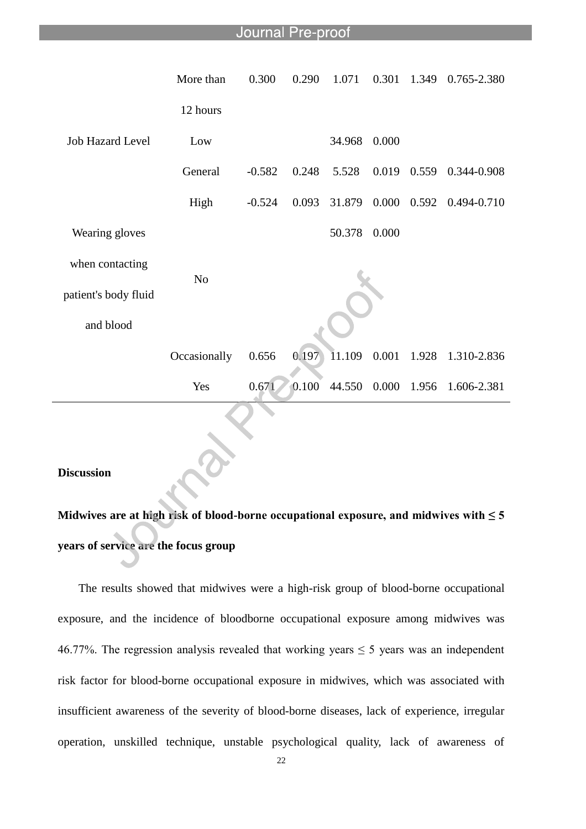| <b>Job Hazard Level</b> | More than      | 0.300    | 0.290 | 1.071  | 0.301 | 1.349 | 0.765-2.380       |
|-------------------------|----------------|----------|-------|--------|-------|-------|-------------------|
|                         | 12 hours       |          |       |        |       |       |                   |
|                         | Low            |          |       | 34.968 | 0.000 |       |                   |
|                         | General        | $-0.582$ | 0.248 | 5.528  | 0.019 |       | 0.559 0.344-0.908 |
|                         | High           | $-0.524$ | 0.093 | 31.879 | 0.000 | 0.592 | 0.494-0.710       |
| Wearing gloves          |                |          |       | 50.378 | 0.000 |       |                   |
| when contacting         |                |          |       |        |       |       |                   |
| patient's body fluid    | N <sub>o</sub> |          |       |        |       |       |                   |
| and blood               |                |          |       |        |       |       |                   |
|                         | Occasionally   | 0.656    | 0.197 | 11.109 | 0.001 | 1.928 | 1.310-2.836       |
|                         | Yes            | 0.671    | 0.100 | 44.550 | 0.000 |       | 1.956 1.606-2.381 |
|                         |                |          |       |        |       |       |                   |

# **Discussion**

# **Midwives are at high risk of blood-borne occupational exposure, and midwives with ≤ 5 years of service are the focus group**

The results showed that midwives were a high-risk group of blood-borne occupational exposure, and the incidence of bloodborne occupational exposure among midwives was 46.77%. The regression analysis revealed that working years  $\leq$  5 years was an independent risk factor for blood-borne occupational exposure in midwives, which was associated with insufficient awareness of the severity of blood-borne diseases, lack of experience, irregular operation, unskilled technique, unstable psychological quality, lack of awareness of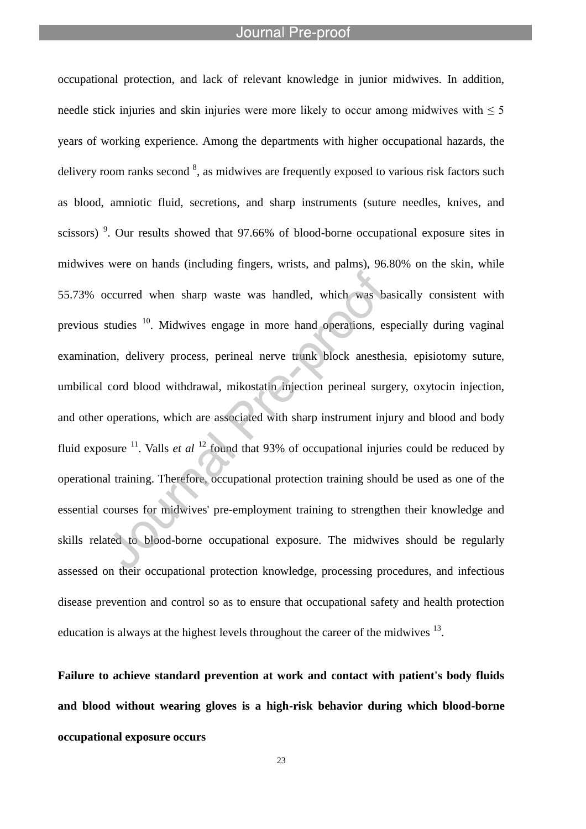l

occupational protection, and lack of relevant knowledge in junior midwives. In addition, needle stick injuries and skin injuries were more likely to occur among midwives with  $\leq 5$ years of working experience. Among the departments with higher occupational hazards, the delivery room ranks second  $\delta$ , as midwives are frequently exposed to various risk factors such as blood, amniotic fluid, secretions, and sharp instruments (suture needles, knives, and scissors)  $9$ . Our results showed that 97.66% of blood-borne occupational exposure sites in midwives were on hands (including fingers, wrists, and palms), 96.80% on the skin, while 55.73% occurred when sharp waste was handled, which was basically consistent with previous studies <sup>10</sup>. Midwives engage in more hand operations, especially during vaginal examination, delivery process, perineal nerve trunk block anesthesia, episiotomy suture, umbilical cord blood withdrawal, mikostatin injection perineal surgery, oxytocin injection, and other operations, which are associated with sharp instrument injury and blood and body fluid exposure <sup>11</sup>. Valls *et al* <sup>12</sup> found that 93% of occupational injuries could be reduced by operational training. Therefore, occupational protection training should be used as one of the essential courses for midwives' pre-employment training to strengthen their knowledge and skills related to blood-borne occupational exposure. The midwives should be regularly assessed on their occupational protection knowledge, processing procedures, and infectious disease prevention and control so as to ensure that occupational safety and health protection education is always at the highest levels throughout the career of the midwives  $13$ .

**Failure to achieve standard prevention at work and contact with patient's body fluids and blood without wearing gloves is a high-risk behavior during which blood-borne occupational exposure occurs**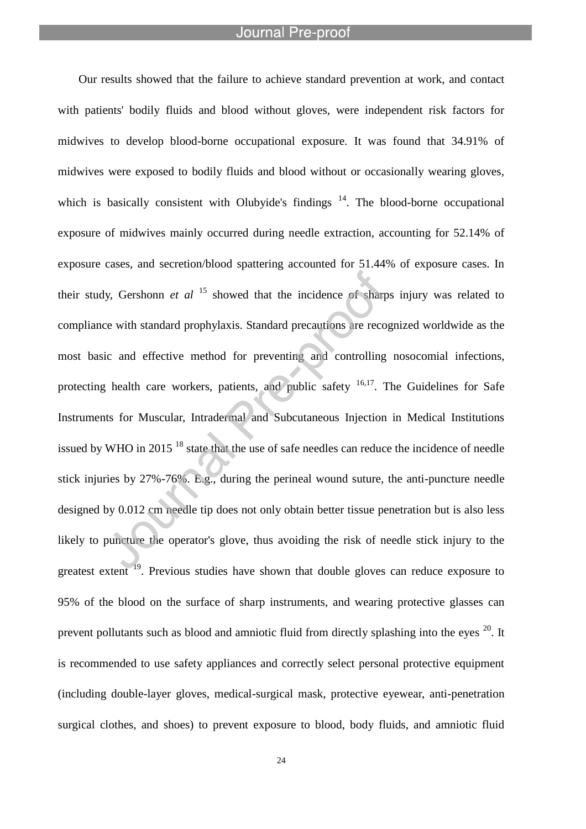l

Our results showed that the failure to achieve standard prevention at work, and contact with patients' bodily fluids and blood without gloves, were independent risk factors for midwives to develop blood-borne occupational exposure. It was found that 34.91% of midwives were exposed to bodily fluids and blood without or occasionally wearing gloves, which is basically consistent with Olubyide's findings  $14$ . The blood-borne occupational exposure of midwives mainly occurred during needle extraction, accounting for 52.14% of exposure cases, and secretion/blood spattering accounted for 51.44% of exposure cases. In their study, Gershonn *et al* <sup>15</sup> showed that the incidence of sharps injury was related to compliance with standard prophylaxis. Standard precautions are recognized worldwide as the most basic and effective method for preventing and controlling nosocomial infections, protecting health care workers, patients, and public safety  $16,17$ . The Guidelines for Safe Instruments for Muscular, Intradermal and Subcutaneous Injection in Medical Institutions issued by WHO in 2015<sup>18</sup> state that the use of safe needles can reduce the incidence of needle stick injuries by 27%-76%. E.g., during the perineal wound suture, the anti-puncture needle designed by 0.012 cm needle tip does not only obtain better tissue penetration but is also less likely to puncture the operator's glove, thus avoiding the risk of needle stick injury to the greatest extent  $19$ . Previous studies have shown that double gloves can reduce exposure to 95% of the blood on the surface of sharp instruments, and wearing protective glasses can prevent pollutants such as blood and amniotic fluid from directly splashing into the eyes  $^{20}$ . It is recommended to use safety appliances and correctly select personal protective equipment (including double-layer gloves, medical-surgical mask, protective eyewear, anti-penetration surgical clothes, and shoes) to prevent exposure to blood, body fluids, and amniotic fluid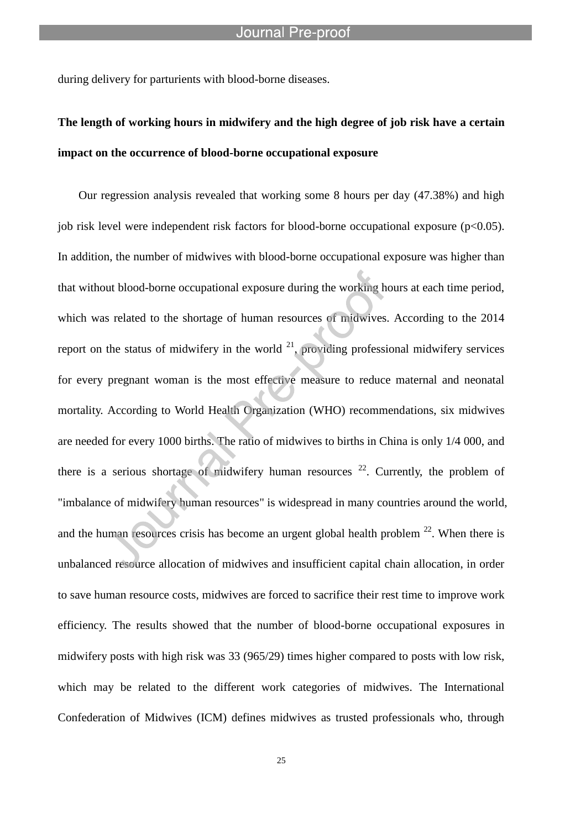during delivery for parturients with blood-borne diseases.

l

# **The length of working hours in midwifery and the high degree of job risk have a certain impact on the occurrence of blood-borne occupational exposure**

Our regression analysis revealed that working some 8 hours per day (47.38%) and high job risk level were independent risk factors for blood-borne occupational exposure (p<0.05). In addition, the number of midwives with blood-borne occupational exposure was higher than that without blood-borne occupational exposure during the working hours at each time period, which was related to the shortage of human resources of midwives. According to the 2014 report on the status of midwifery in the world  $^{21}$ , providing professional midwifery services for every pregnant woman is the most effective measure to reduce maternal and neonatal mortality. According to World Health Organization (WHO) recommendations, six midwives are needed for every 1000 births. The ratio of midwives to births in China is only 1/4 000, and there is a serious shortage of midwifery human resources  $22$ . Currently, the problem of "imbalance of midwifery human resources" is widespread in many countries around the world, and the human resources crisis has become an urgent global health problem  $22$ . When there is unbalanced resource allocation of midwives and insufficient capital chain allocation, in order to save human resource costs, midwives are forced to sacrifice their rest time to improve work efficiency. The results showed that the number of blood-borne occupational exposures in midwifery posts with high risk was 33 (965/29) times higher compared to posts with low risk, which may be related to the different work categories of midwives. The International Confederation of Midwives (ICM) defines midwives as trusted professionals who, through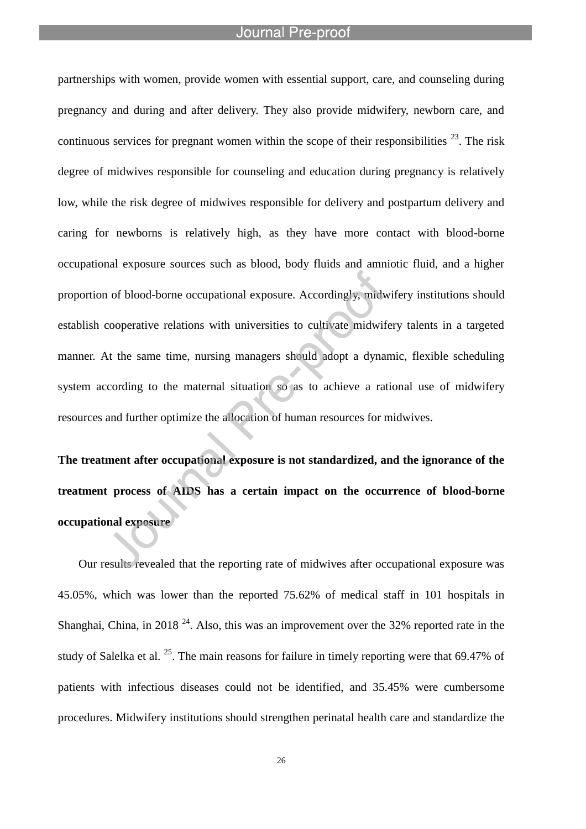l

partnerships with women, provide women with essential support, care, and counseling during pregnancy and during and after delivery. They also provide midwifery, newborn care, and continuous services for pregnant women within the scope of their responsibilities  $^{23}$ . The risk degree of midwives responsible for counseling and education during pregnancy is relatively low, while the risk degree of midwives responsible for delivery and postpartum delivery and caring for newborns is relatively high, as they have more contact with blood-borne occupational exposure sources such as blood, body fluids and amniotic fluid, and a higher proportion of blood-borne occupational exposure. Accordingly, midwifery institutions should establish cooperative relations with universities to cultivate midwifery talents in a targeted manner. At the same time, nursing managers should adopt a dynamic, flexible scheduling system according to the maternal situation so as to achieve a rational use of midwifery resources and further optimize the allocation of human resources for midwives.

**The treatment after occupational exposure is not standardized, and the ignorance of the treatment process of AIDS has a certain impact on the occurrence of blood-borne occupational exposure**

Our results revealed that the reporting rate of midwives after occupational exposure was 45.05%, which was lower than the reported 75.62% of medical staff in 101 hospitals in Shanghai, China, in 2018<sup>24</sup>. Also, this was an improvement over the 32% reported rate in the study of Salelka et al.  $^{25}$ . The main reasons for failure in timely reporting were that 69.47% of patients with infectious diseases could not be identified, and 35.45% were cumbersome procedures. Midwifery institutions should strengthen perinatal health care and standardize the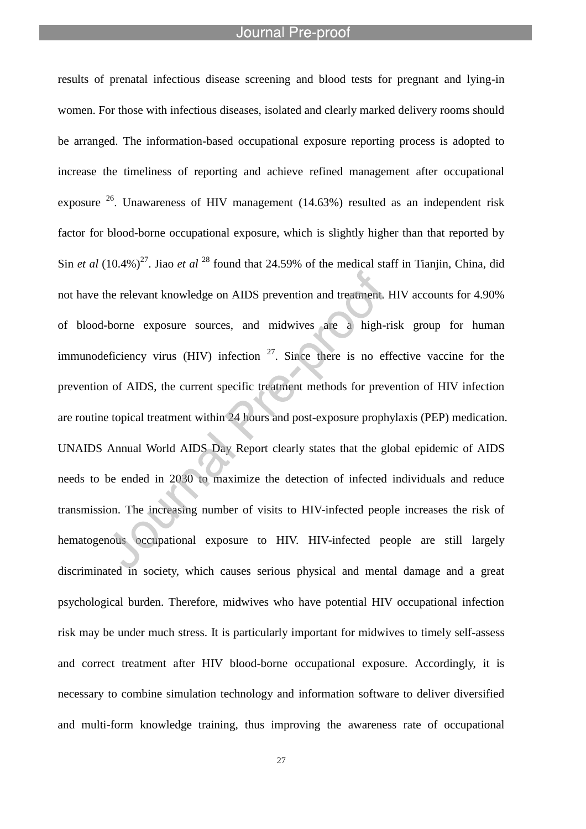l

results of prenatal infectious disease screening and blood tests for pregnant and lying-in women. For those with infectious diseases, isolated and clearly marked delivery rooms should be arranged. The information-based occupational exposure reporting process is adopted to increase the timeliness of reporting and achieve refined management after occupational exposure  $26$ . Unawareness of HIV management (14.63%) resulted as an independent risk factor for blood-borne occupational exposure, which is slightly higher than that reported by Sin *et al*  $(10.4\%)^{27}$ . Jiao *et al* <sup>28</sup> found that 24.59% of the medical staff in Tianjin, China, did not have the relevant knowledge on AIDS prevention and treatment. HIV accounts for 4.90% of blood-borne exposure sources, and midwives are a high-risk group for human immunodeficiency virus (HIV) infection  $27$ . Since there is no effective vaccine for the prevention of AIDS, the current specific treatment methods for prevention of HIV infection are routine topical treatment within 24 hours and post-exposure prophylaxis (PEP) medication. UNAIDS Annual World AIDS Day Report clearly states that the global epidemic of AIDS needs to be ended in 2030 to maximize the detection of infected individuals and reduce transmission. The increasing number of visits to HIV-infected people increases the risk of hematogenous occupational exposure to HIV. HIV-infected people are still largely discriminated in society, which causes serious physical and mental damage and a great psychological burden. Therefore, midwives who have potential HIV occupational infection risk may be under much stress. It is particularly important for midwives to timely self-assess and correct treatment after HIV blood-borne occupational exposure. Accordingly, it is necessary to combine simulation technology and information software to deliver diversified and multi-form knowledge training, thus improving the awareness rate of occupational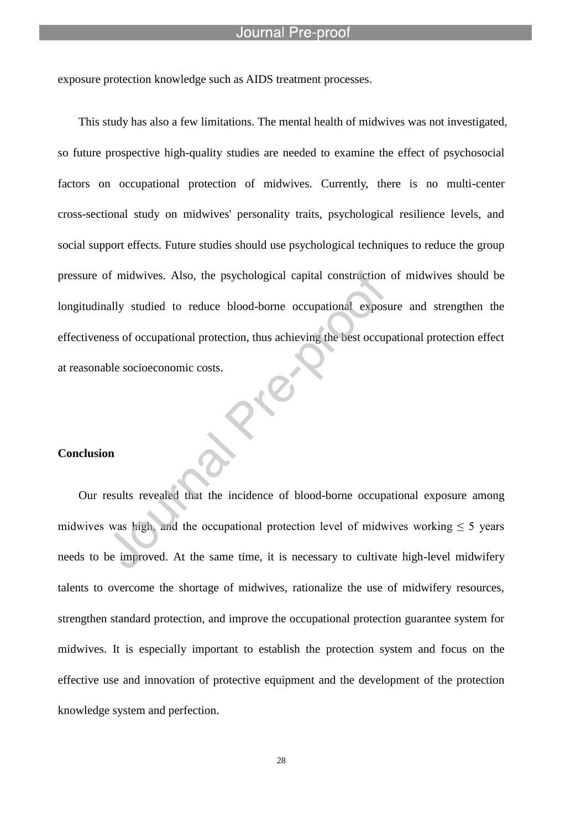exposure protection knowledge such as AIDS treatment processes.

l

This study has also a few limitations. The mental health of midwives was not investigated, so future prospective high-quality studies are needed to examine the effect of psychosocial factors on occupational protection of midwives. Currently, there is no multi-center cross-sectional study on midwives' personality traits, psychological resilience levels, and social support effects. Future studies should use psychological techniques to reduce the group pressure of midwives. Also, the psychological capital construction of midwives should be longitudinally studied to reduce blood-borne occupational exposure and strengthen the effectiveness of occupational protection, thus achieving the best occupational protection effect at reasonable socioeconomic costs.

#### **Conclusion**

Our results revealed that the incidence of blood-borne occupational exposure among midwives was high, and the occupational protection level of midwives working  $\leq 5$  years needs to be improved. At the same time, it is necessary to cultivate high-level midwifery talents to overcome the shortage of midwives, rationalize the use of midwifery resources, strengthen standard protection, and improve the occupational protection guarantee system for midwives. It is especially important to establish the protection system and focus on the effective use and innovation of protective equipment and the development of the protection knowledge system and perfection.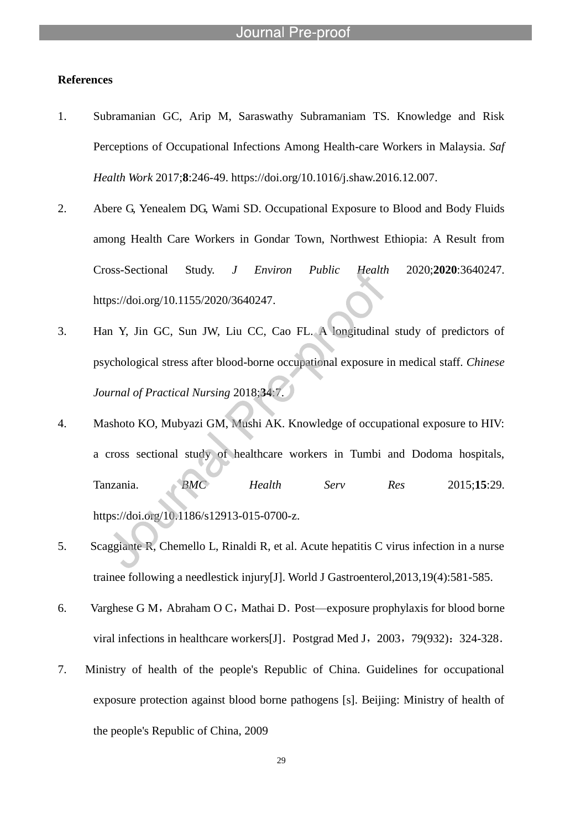#### **References**

- 1. Subramanian GC, Arip M, Saraswathy Subramaniam TS. Knowledge and Risk Perceptions of Occupational Infections Among Health-care Workers in Malaysia. *Saf Health Work* 2017;**8**:246-49. https://doi.org/10.1016/j.shaw.2016.12.007.
- 2. Abere G, Yenealem DG, Wami SD. Occupational Exposure to Blood and Body Fluids among Health Care Workers in Gondar Town, Northwest Ethiopia: A Result from Cross-Sectional Study. *J Environ Public Health* 2020;**2020**:3640247. https://doi.org/10.1155/2020/3640247.
- 3. Han Y, Jin GC, Sun JW, Liu CC, Cao FL. A longitudinal study of predictors of psychological stress after blood-borne occupational exposure in medical staff. *Chinese Journal of Practical Nursing* 2018;**34**:7.
- 4. Mashoto KO, Mubyazi GM, Mushi AK. Knowledge of occupational exposure to HIV: a cross sectional study of healthcare workers in Tumbi and Dodoma hospitals, Tanzania. *BMC Health Serv Res* 2015;**15**:29. https://doi.org/10.1186/s12913-015-0700-z.
- 5. Scaggiante R, Chemello L, Rinaldi R, et al. Acute hepatitis C virus infection in a nurse trainee following a needlestick injury[J]. World J Gastroenterol,2013,19(4):581-585.
- 6. Varghese G M, Abraham O C, Mathai D. Post—exposure prophylaxis for blood borne viral infections in healthcare workers[J]. Postgrad Med J, 2003, 79(932): 324-328.
- 7. Ministry of health of the people's Republic of China. Guidelines for occupational exposure protection against blood borne pathogens [s]. Beijing: Ministry of health of the people's Republic of China, 2009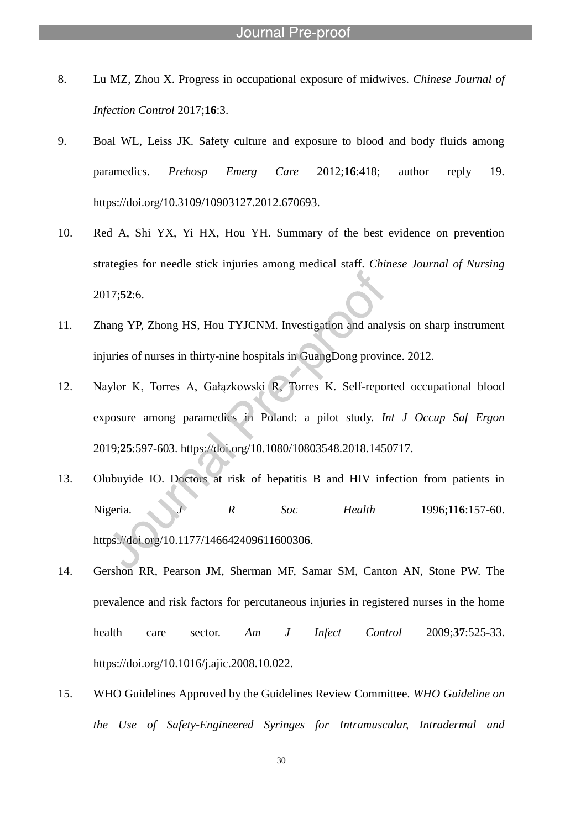8. Lu MZ, Zhou X. Progress in occupational exposure of midwives. *Chinese Journal of Infection Control* 2017;**16**:3.

- 9. Boal WL, Leiss JK. Safety culture and exposure to blood and body fluids among paramedics. *Prehosp Emerg Care* 2012;**16**:418; author reply 19. https://doi.org/10.3109/10903127.2012.670693.
- 10. Red A, Shi YX, Yi HX, Hou YH. Summary of the best evidence on prevention strategies for needle stick injuries among medical staff. *Chinese Journal of Nursing* 2017;**52**:6.
- 11. Zhang YP, Zhong HS, Hou TYJCNM. Investigation and analysis on sharp instrument injuries of nurses in thirty-nine hospitals in GuangDong province. 2012.
- 12. Naylor K, Torres A, Gałązkowski R, Torres K. Self-reported occupational blood exposure among paramedics in Poland: a pilot study. *Int J Occup Saf Ergon* 2019;**25**:597-603. https://doi.org/10.1080/10803548.2018.1450717.
- 13. Olubuyide IO. Doctors at risk of hepatitis B and HIV infection from patients in Nigeria. *J R Soc Health* 1996;**116**:157-60. https://doi.org/10.1177/146642409611600306.
- 14. Gershon RR, Pearson JM, Sherman MF, Samar SM, Canton AN, Stone PW. The prevalence and risk factors for percutaneous injuries in registered nurses in the home health care sector. *Am J Infect Control* 2009;**37**:525-33. https://doi.org/10.1016/j.ajic.2008.10.022.
- 15. WHO Guidelines Approved by the Guidelines Review Committee. *WHO Guideline on the Use of Safety-Engineered Syringes for Intramuscular, Intradermal and*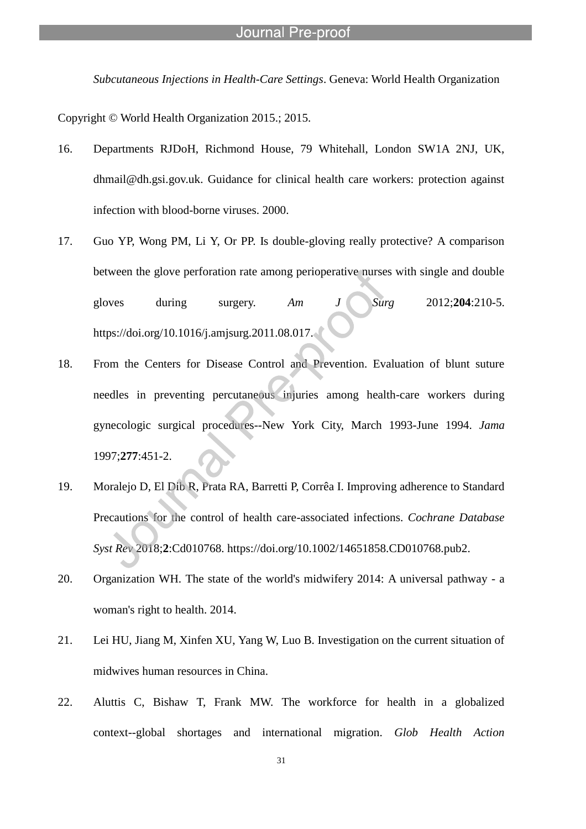*Subcutaneous Injections in Health-Care Settings*. Geneva: World Health Organization

Copyright © World Health Organization 2015.; 2015.

- 16. Departments RJDoH, Richmond House, 79 Whitehall, London SW1A 2NJ, UK, dhmail@dh.gsi.gov.uk. Guidance for clinical health care workers: protection against infection with blood-borne viruses. 2000.
- 17. Guo YP, Wong PM, Li Y, Or PP. Is double-gloving really protective? A comparison between the glove perforation rate among perioperative nurses with single and double gloves during surgery. *Am J Surg* 2012;**204**:210-5. https://doi.org/10.1016/j.amjsurg.2011.08.017.
- 18. From the Centers for Disease Control and Prevention. Evaluation of blunt suture needles in preventing percutaneous injuries among health-care workers during gynecologic surgical procedures--New York City, March 1993-June 1994. *Jama* 1997;**277**:451-2.
- 19. Moralejo D, El Dib R, Prata RA, Barretti P, Corrêa I. Improving adherence to Standard Precautions for the control of health care-associated infections. *Cochrane Database Syst Rev* 2018;**2**:Cd010768. https://doi.org/10.1002/14651858.CD010768.pub2.
- 20. Organization WH. The state of the world's midwifery 2014: A universal pathway a woman's right to health. 2014.
- 21. Lei HU, Jiang M, Xinfen XU, Yang W, Luo B. Investigation on the current situation of midwives human resources in China.
- 22. Aluttis C, Bishaw T, Frank MW. The workforce for health in a globalized context--global shortages and international migration. *Glob Health Action*